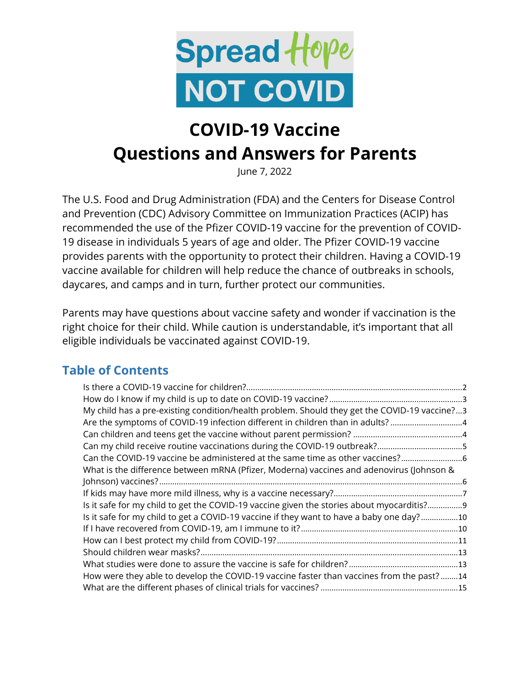

# **COVID-19 Vaccine Questions and Answers for Parents**

June 7, 2022

The U.S. Food and Drug Administration (FDA) and the Centers for Disease Control and Prevention (CDC) Advisory Committee on Immunization Practices (ACIP) has recommended the use of the Pfizer COVID-19 vaccine for the prevention of COVID-19 disease in individuals 5 years of age and older. The Pfizer COVID-19 vaccine provides parents with the opportunity to protect their children. Having a COVID-19 vaccine available for children will help reduce the chance of outbreaks in schools, daycares, and camps and in turn, further protect our communities.

Parents may have questions about vaccine safety and wonder if vaccination is the right choice for their child. While caution is understandable, it's important that all eligible individuals be vaccinated against COVID-19.

### **Table of Contents**

| My child has a pre-existing condition/health problem. Should they get the COVID-19 vaccine?3 |
|----------------------------------------------------------------------------------------------|
| Are the symptoms of COVID-19 infection different in children than in adults? 4               |
|                                                                                              |
|                                                                                              |
| Can the COVID-19 vaccine be administered at the same time as other vaccines?6                |
| What is the difference between mRNA (Pfizer, Moderna) vaccines and adenovirus (Johnson &     |
|                                                                                              |
|                                                                                              |
| Is it safe for my child to get the COVID-19 vaccine given the stories about myocarditis?9    |
| Is it safe for my child to get a COVID-19 vaccine if they want to have a baby one day?10     |
|                                                                                              |
|                                                                                              |
|                                                                                              |
|                                                                                              |
| How were they able to develop the COVID-19 vaccine faster than vaccines from the past?14     |
|                                                                                              |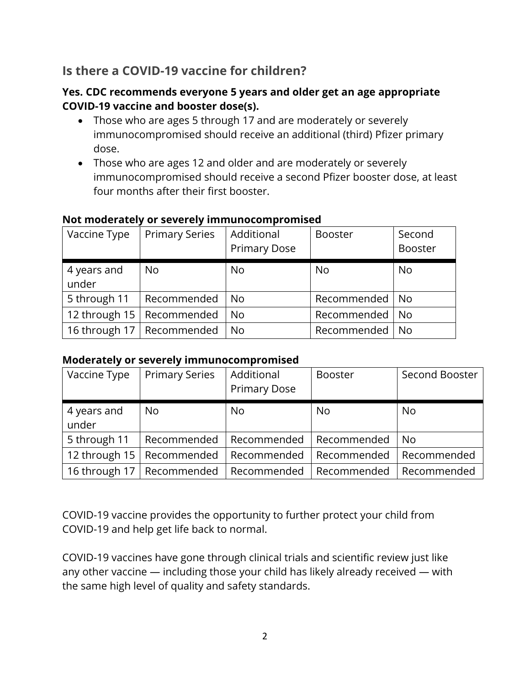### <span id="page-1-0"></span>**Is there a COVID-19 vaccine for children?**

#### **Yes. CDC recommends everyone 5 years and older get an age appropriate COVID-19 vaccine and booster dose(s).**

- Those who are ages 5 through 17 and are moderately or severely immunocompromised should receive an additional (third) Pfizer primary dose.
- Those who are ages 12 and older and are moderately or severely immunocompromised should receive a second Pfizer booster dose, at least four months after their first booster.

| Vaccine Type  | <b>Primary Series</b>       | Additional<br><b>Primary Dose</b> | <b>Booster</b>   | Second<br><b>Booster</b> |
|---------------|-----------------------------|-----------------------------------|------------------|--------------------------|
|               |                             |                                   |                  |                          |
| 4 years and   | <b>No</b>                   | <b>No</b>                         | No               | <b>No</b>                |
| under         |                             |                                   |                  |                          |
| 5 through 11  | Recommended                 | <b>No</b>                         | Recommended   No |                          |
| 12 through 15 | Recommended                 | <b>No</b>                         | Recommended   No |                          |
|               | 16 through 17   Recommended | <b>No</b>                         | Recommended      | No.                      |

#### **Not moderately or severely immunocompromised**

#### **Moderately or severely immunocompromised**

| Vaccine Type         | <b>Primary Series</b> | Additional<br><b>Primary Dose</b> | <b>Booster</b> | Second Booster |
|----------------------|-----------------------|-----------------------------------|----------------|----------------|
| 4 years and<br>under | N <sub>o</sub>        | <b>No</b>                         | No             | <b>No</b>      |
| 5 through 11         | Recommended           | Recommended                       | Recommended    | N <sub>o</sub> |
| 12 through 15        | Recommended           | Recommended                       | Recommended    | Recommended    |
| 16 through $17$      | Recommended           | Recommended                       | Recommended    | Recommended    |

COVID-19 vaccine provides the opportunity to further protect your child from COVID-19 and help get life back to normal.

COVID-19 vaccines have gone through clinical trials and scientific review just like any other vaccine — including those your child has likely already received — with the same high level of quality and safety standards.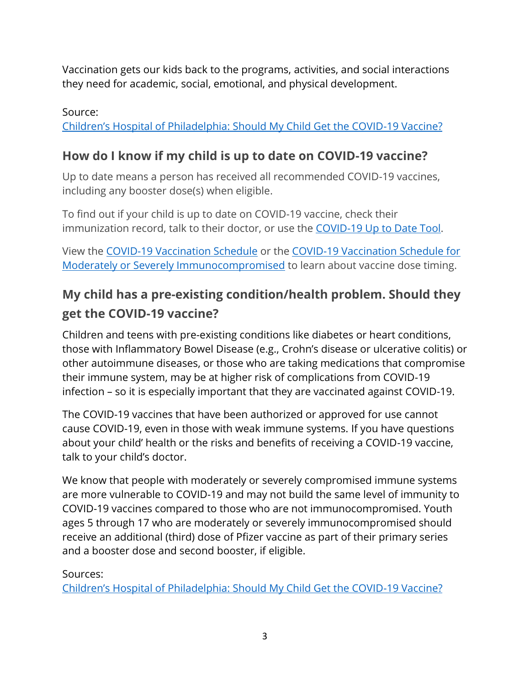Vaccination gets our kids back to the programs, activities, and social interactions they need for academic, social, emotional, and physical development.

### Source: [Children's Hospital of Philadelphia: Should My Child Get the COVID](https://www.chop.edu/news/health-tips/should-my-child-get-covid-19-vaccine)-19 Vaccine?

### <span id="page-2-0"></span>**How do I know if my child is up to date on COVID-19 vaccine?**

Up to date means a person has received all recommended COVID-19 vaccines, including any booster dose(s) when eligible.

To find out if your child is up to date on COVID-19 vaccine, check their immunization record, talk to their doctor, or use the [COVID-19 Up to Date Tool.](https://www.michigan.gov/coronavirus/vaccine-tool)

View the [COVID-19 Vaccination Schedule](https://www.michigan.gov/coronavirus/-/media/Project/Websites/coronavirus/Folder2/COVID-19_Vaccination_Schedule_2nd_Booster_v3.pdf?rev=d3a3db28735e46e09e487886d61e2fbe) or the [COVID-19 Vaccination Schedule for](https://www.michigan.gov/coronavirus/-/media/Project/Websites/coronavirus/Folder2/COVID-19_Vaccination_Schedule_v3.pdf?rev=511cb3a160f145dca44392f484bc44cb)  [Moderately or Severely Immunocompromised](https://www.michigan.gov/coronavirus/-/media/Project/Websites/coronavirus/Folder2/COVID-19_Vaccination_Schedule_v3.pdf?rev=511cb3a160f145dca44392f484bc44cb) to learn about vaccine dose timing.

## <span id="page-2-1"></span>**My child has a pre-existing condition/health problem. Should they get the COVID-19 vaccine?**

Children and teens with pre-existing conditions like diabetes or heart conditions, those with Inflammatory Bowel Disease (e.g., Crohn's disease or ulcerative colitis) or other autoimmune diseases, or those who are taking medications that compromise their immune system, may be at higher risk of complications from COVID-19 infection – so it is especially important that they are vaccinated against COVID-19.

The COVID-19 vaccines that have been authorized or approved for use cannot cause COVID-19, even in those with weak immune systems. If you have questions about your child' health or the risks and benefits of receiving a COVID-19 vaccine, talk to your child's doctor.

We know that people with moderately or severely compromised immune systems are more vulnerable to COVID-19 and may not build the same level of immunity to COVID-19 vaccines compared to those who are not immunocompromised. Youth ages 5 through 17 who are moderately or severely [immunocompromised](https://www.cdc.gov/coronavirus/2019-ncov/vaccines/recommendations/immuno.html) should receive an additional (third) dose of Pfizer vaccine as part of their primary series and a booster dose and second booster, if eligible.

### Sources:

[Children's Hospital of Philadelphia: Should My Child Get the COVID](https://www.chop.edu/news/health-tips/should-my-child-get-covid-19-vaccine)-19 Vaccine?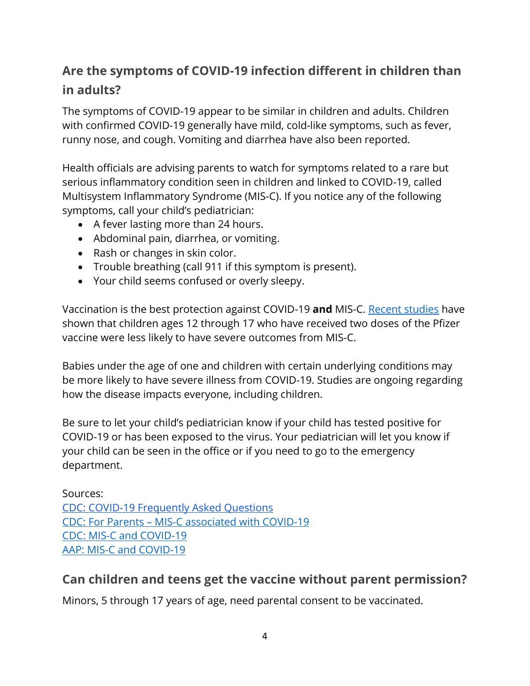## <span id="page-3-0"></span>**Are the symptoms of COVID-19 infection different in children than in adults?**

The symptoms of COVID-19 appear to be similar in children and adults. Children with confirmed COVID-19 generally have mild, cold-like symptoms, such as fever, runny nose, and cough. Vomiting and diarrhea have also been reported.

Health officials are advising parents to watch for symptoms related to a rare but serious inflammatory condition seen in children and linked to COVID-19, called Multisystem Inflammatory Syndrome (MIS-C). If you notice any of the following symptoms, call your child's pediatrician:

- A fever lasting more than 24 hours.
- Abdominal pain, diarrhea, or vomiting.
- Rash or changes in skin color.
- Trouble breathing (call 911 if this symptom is present).
- Your child seems confused or overly sleepy.

Vaccination is the best protection against COVID-19 **and** MIS-C. [Recent studies](https://www.cdc.gov/mmwr/volumes/71/wr/mm7102e1.htm) have shown that children ages 12 through 17 who have received two doses of the Pfizer vaccine were less likely to have severe outcomes from MIS-C.

Babies under the age of one and children with certain underlying conditions may be more likely to have severe illness from COVID-19. Studies are ongoing regarding how the disease impacts everyone, including children.

Be sure to let your child's pediatrician know if your child has tested positive for COVID-19 or has been exposed to the virus. Your pediatrician will let you know if your child can be seen in the office or if you need to go to the emergency department.

Sources: [CDC: COVID-19 Frequently Asked Questions](https://www.cdc.gov/coronavirus/2019-ncov/faq.html#COVID-19-and-Children) CDC: For Parents – [MIS-C associated with COVID-19](https://www.cdc.gov/coronavirus/2019-ncov/daily-life-coping/children/mis-c.html) [CDC: MIS-C and COVID-19](https://emergency.cdc.gov/han/2020/han00432.asp) [AAP: MIS-C and COVID-19](https://www.aappublications.org/news/2020/05/14/covid19inflammatory051420)

## <span id="page-3-1"></span>**Can children and teens get the vaccine without parent permission?**

Minors, 5 through 17 years of age, need parental consent to be vaccinated.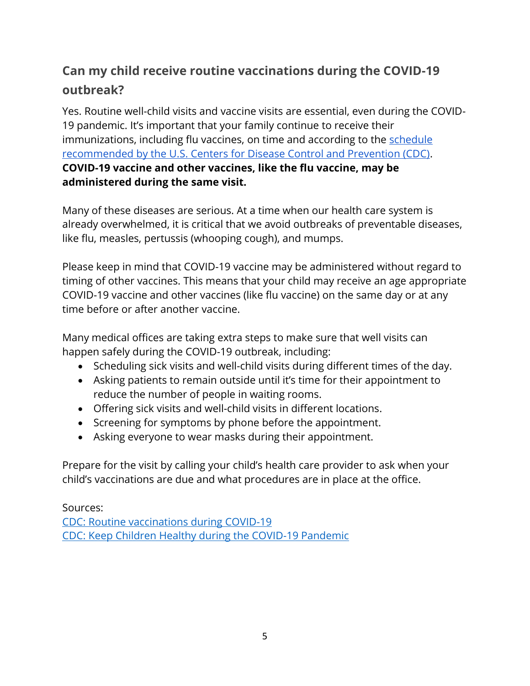## <span id="page-4-0"></span>**Can my child receive routine vaccinations during the COVID-19 outbreak?**

Yes. Routine well-child visits and vaccine visits are essential, even during the COVID-19 pandemic. It's important that your family continue to receive their immunizations, including flu vaccines, on time and according to the schedule [recommended by the U.S. Centers for Disease Control and Prevention \(CDC\).](https://www.cdc.gov/vaccines/schedules/easy-to-read/child-easyread.html) **COVID-19 vaccine and other vaccines, like the flu vaccine, may be administered during the same visit.**

Many of these diseases are serious. At a time when our health care system is already overwhelmed, it is critical that we avoid outbreaks of preventable diseases, like flu, measles, pertussis (whooping cough), and mumps.

Please keep in mind that COVID-19 vaccine may be administered without regard to timing of other vaccines. This means that your child may receive an age appropriate COVID-19 vaccine and other vaccines (like flu vaccine) on the same day or at any time before or after another vaccine.

Many medical offices are taking extra steps to make sure that well visits can happen safely during the COVID-19 outbreak, including:

- Scheduling sick visits and well-child visits during different times of the day.
- Asking patients to remain outside until it's time for their appointment to reduce the number of people in waiting rooms.
- Offering sick visits and well-child visits in different locations.
- Screening for symptoms by phone before the appointment.
- Asking everyone to wear masks during their appointment.

Prepare for the visit by calling your child's health care provider to ask when your child's vaccinations are due and what procedures are in place at the office.

Sources: [CDC: Routine vaccinations during COVID-19](https://www.cdc.gov/vaccines/parents/visit/vaccination-during-COVID-19.html) [CDC: Keep Children Healthy during the COVID-19 Pandemic](https://www.cdc.gov/coronavirus/2019-ncov/daily-life-coping/children.html)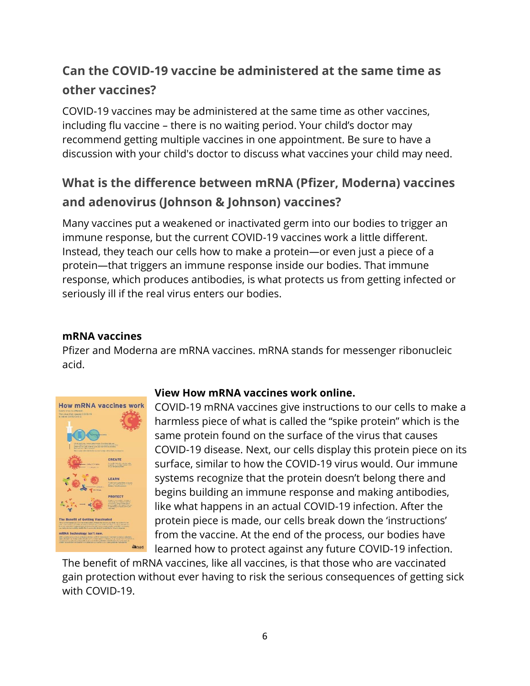## <span id="page-5-0"></span>**Can the COVID-19 vaccine be administered at the same time as other vaccines?**

COVID-19 vaccines may be administered at the same time as other vaccines, including flu vaccine – there is no waiting period. Your child's doctor may recommend getting multiple vaccines in one appointment. Be sure to have a discussion with your child's doctor to discuss what vaccines your child may need.

## <span id="page-5-1"></span>**What is the difference between mRNA (Pfizer, Moderna) vaccines and adenovirus (Johnson & Johnson) vaccines?**

Many vaccines put a weakened or inactivated germ into our bodies to trigger an immune response, but the current COVID-19 vaccines work a little different. Instead, they teach our cells how to make a protein—or even just a piece of a protein—that triggers an immune response inside our bodies. That immune response, which produces antibodies, is what protects us from getting infected or seriously ill if the real virus enters our bodies.

### **mRNA vaccines**

Pfizer and Moderna are mRNA vaccines. mRNA stands for messenger ribonucleic acid.



#### **[View How mRNA vaccines work online.](https://www.michigan.gov/documents/coronavirus/2021_MDHHS_COVIDVaccine_mRNA_Infograph_5_719358_7.pdf)**

COVID-19 mRNA vaccines give instructions to our cells to make a harmless piece of what is called the "spike protein" which is the same protein found on the surface of the virus that causes COVID-19 disease. Next, our cells display this protein piece on its surface, similar to how the COVID-19 virus would. Our immune systems recognize that the protein doesn't belong there and begins building an immune response and making antibodies, like what happens in an actual COVID-19 infection. After the protein piece is made, our cells break down the 'instructions' from the vaccine. At the end of the process, our bodies have learned how to protect against any future COVID-19 infection.

The benefit of mRNA vaccines, like all vaccines, is that those who are vaccinated gain protection without ever having to risk the serious consequences of getting sick with COVID-19.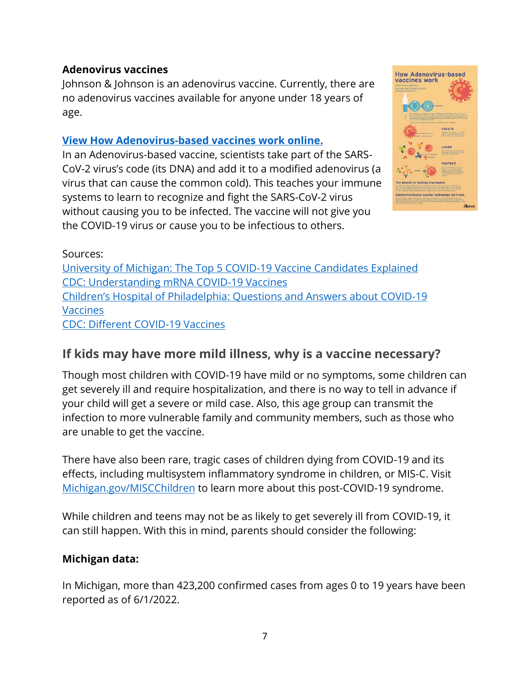### **Adenovirus vaccines**

Johnson & Johnson is an adenovirus vaccine. Currently, there are no adenovirus vaccines available for anyone under 18 years of age.

#### **[View How Adenovirus-based vaccines work online.](https://www.michigan.gov/documents/coronavirus/2021_MDHHS_Adenovirus-basedVaccine_Infograph_2.2_719352_7.pdf)**

In an Adenovirus-based vaccine, scientists take part of the SARS-CoV-2 virus's code (its DNA) and add it to a modified adenovirus (a virus that can cause the common cold). This teaches your immune systems to learn to recognize and fight the SARS-CoV-2 virus without causing you to be infected. The vaccine will not give you the COVID-19 virus or cause you to be infectious to others.



Sources:

[University of Michigan: The Top 5 COVID-19 Vaccine Candidates Explained](https://labblog.uofmhealth.org/rounds/top-5-covid-19-vaccine-candidates-explained) [CDC: Understanding mRNA COVID-19 Vaccines](https://www.cdc.gov/coronavirus/2019-ncov/vaccines/different-vaccines/mrna.html) [Children's Hospital of Philadelphia: Qu](https://www.chop.edu/centers-programs/vaccine-education-center/making-vaccines/prevent-covid)estions and Answers about COVID-19 [Vaccines](https://www.chop.edu/centers-programs/vaccine-education-center/making-vaccines/prevent-covid) [CDC: Different COVID-19 Vaccines](https://www.cdc.gov/coronavirus/2019-ncov/vaccines/different-vaccines.html)

### <span id="page-6-0"></span>**If kids may have more mild illness, why is a vaccine necessary?**

Though most children with COVID-19 have mild or no symptoms, some children can get severely ill and require hospitalization, and there is no way to tell in advance if your child will get a severe or mild case. Also, this age group can transmit the infection to more vulnerable family and community members, such as those who are unable to get the vaccine.

There have also been rare, tragic cases of children dying from COVID-19 and its effects, including multisystem inflammatory syndrome in children, or MIS-C. Visit [Michigan.gov/MISCChildren](https://www.michigan.gov/coronavirus/0,9753,7-406-98178_106487---,00.html) to learn more about this post-COVID-19 syndrome.

While children and teens may not be as likely to get severely ill from COVID-19, it can still happen. With this in mind, parents should consider the following:

#### **Michigan data:**

In Michigan, more than 423,200 confirmed cases from ages 0 to 19 years have been reported as of 6/1/2022.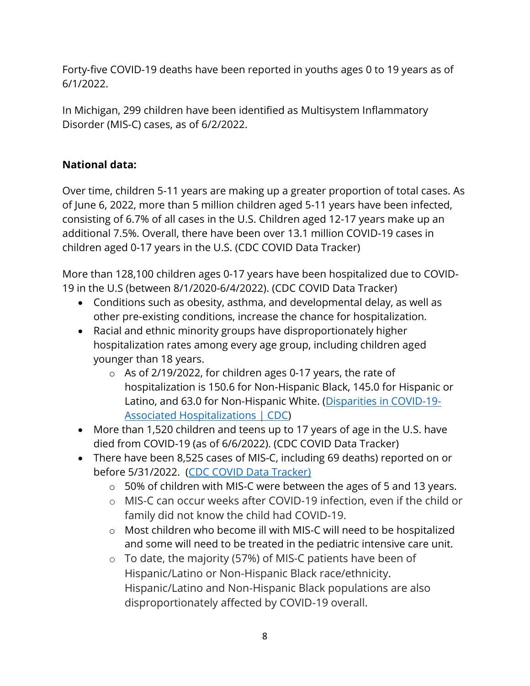Forty-five COVID-19 deaths have been reported in youths ages 0 to 19 years as of 6/1/2022.

In Michigan, 299 children have been identified as Multisystem Inflammatory Disorder (MIS-C) cases, as of 6/2/2022.

### **National data:**

Over time, children 5-11 years are making up a greater proportion of total cases. As of June 6, 2022, more than 5 million children aged 5-11 years have been infected, consisting of 6.7% of all cases in the U.S. Children aged 12-17 years make up an additional 7.5%. Overall, there have been over 13.1 million COVID-19 cases in children aged 0-17 years in the U.S. (CDC COVID Data Tracker)

More than 128,100 children ages 0-17 years have been hospitalized due to COVID-19 in the U.S (between 8/1/2020-6/4/2022). (CDC COVID Data Tracker)

- Conditions such as obesity, asthma, and developmental delay, as well as other pre-existing conditions, increase the chance for hospitalization.
- Racial and ethnic minority groups have disproportionately higher hospitalization rates among every age group, including children aged younger than 18 years.
	- o As of 2/19/2022, for children ages 0-17 years, the rate of hospitalization is 150.6 for Non-Hispanic Black, 145.0 for Hispanic or Latino, and 63.0 for Non-Hispanic White. [\(Disparities in COVID-19-](https://www.cdc.gov/coronavirus/2019-ncov/community/health-equity/racial-ethnic-disparities/disparities-hospitalization.html) [Associated Hospitalizations | CDC\)](https://www.cdc.gov/coronavirus/2019-ncov/community/health-equity/racial-ethnic-disparities/disparities-hospitalization.html)
- More than 1,520 children and teens up to 17 years of age in the U.S. have died from COVID-19 (as of 6/6/2022). (CDC COVID Data Tracker)
- There have been 8,525 cases of MIS-C, including 69 deaths) reported on or before 5/31/2022. [\(CDC COVID Data Tracker\)](https://covid.cdc.gov/covid-data-tracker/#mis-national-surveillance)
	- o 50% of children with MIS-C were between the ages of 5 and 13 years.
	- o MIS-C can occur weeks after COVID-19 infection, even if the child or family did not know the child had COVID-19.
	- o Most children who become ill with MIS-C will need to be hospitalized and some will need to be treated in the pediatric intensive care unit.
	- $\circ$  To date, the majority (57%) of MIS-C patients have been of Hispanic/Latino or Non-Hispanic Black race/ethnicity. Hispanic/Latino and Non-Hispanic Black populations are also disproportionately affected by COVID-19 overall.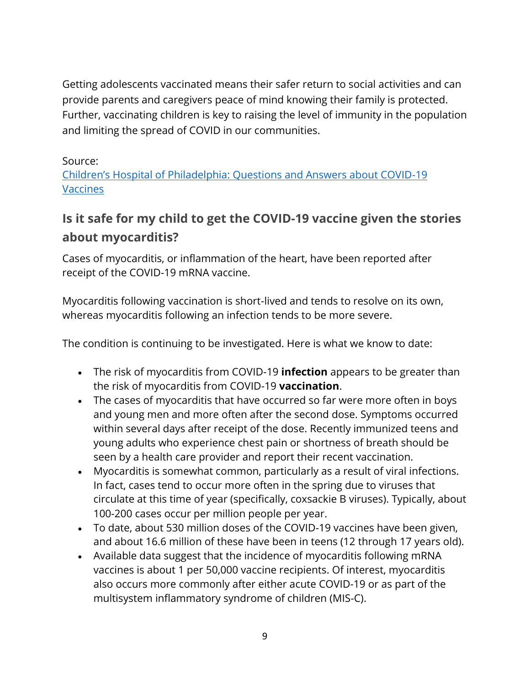Getting adolescents vaccinated means their safer return to social activities and can provide parents and caregivers peace of mind knowing their family is protected. Further, vaccinating children is key to raising the level of immunity in the population and limiting the spread of COVID in our communities.

### Source:

[Children's Hospital of Philadelphia: Questions and Answers about COVID](https://www.chop.edu/centers-programs/vaccine-education-center/making-vaccines/prevent-covid)-19 [Vaccines](https://www.chop.edu/centers-programs/vaccine-education-center/making-vaccines/prevent-covid)

## <span id="page-8-0"></span>**Is it safe for my child to get the COVID-19 vaccine given the stories about myocarditis?**

Cases of myocarditis, or inflammation of the heart, have been reported after receipt of the COVID-19 mRNA vaccine.

Myocarditis following vaccination is short-lived and tends to resolve on its own, whereas myocarditis following an infection tends to be more severe.

The condition is continuing to be investigated. Here is what we know to date:

- The risk of myocarditis from COVID-19 **infection** appears to be greater than the risk of myocarditis from COVID-19 **vaccination**.
- The cases of myocarditis that have occurred so far were more often in boys and young men and more often after the second dose. Symptoms occurred within several days after receipt of the dose. Recently immunized teens and young adults who experience chest pain or shortness of breath should be seen by a health care provider and report their recent vaccination.
- Myocarditis is somewhat common, particularly as a result of viral infections. In fact, cases tend to occur more often in the spring due to viruses that circulate at this time of year (specifically, coxsackie B viruses). Typically, about 100-200 cases occur per million people per year.
- To date, about 530 million doses of the COVID-19 vaccines have been given, and about 16.6 million of these have been in teens (12 through 17 years old).
- Available data suggest that the incidence of myocarditis following mRNA vaccines is about 1 per 50,000 vaccine recipients. Of interest, myocarditis also occurs more commonly after either acute COVID-19 or as part of the multisystem inflammatory syndrome of children (MIS-C).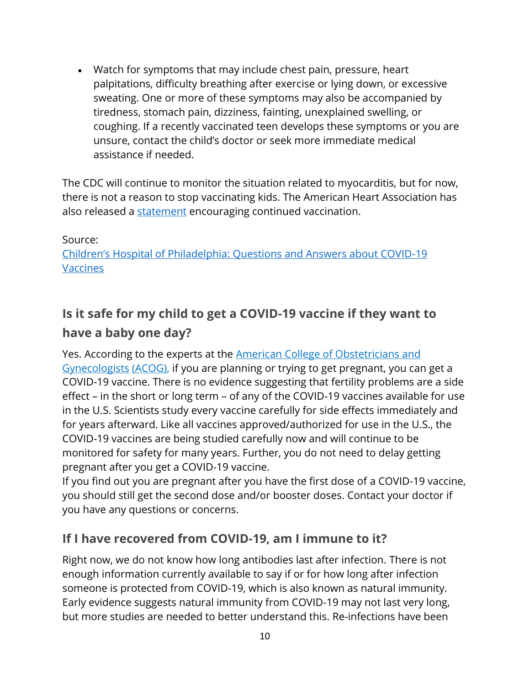• Watch for symptoms that may include chest pain, pressure, heart palpitations, difficulty breathing after exercise or lying down, or excessive sweating. One or more of these symptoms may also be accompanied by tiredness, stomach pain, dizziness, fainting, unexplained swelling, or coughing. If a recently vaccinated teen develops these symptoms or you are unsure, contact the child's doctor or seek more immediate medical assistance if needed.

The CDC will continue to monitor the situation related to myocarditis, but for now, there is not a reason to stop vaccinating kids. The American Heart Association has also released a [statement](https://newsroom.heart.org/news/cdc-investigating-rare-myocarditis-in-teens-young-adults-covid-19-vaccine-still-advised-for-all-who-are-eligible) encouraging continued vaccination.

#### Source:

[Children's Hospital of Philadelphia: Questions and Answers about COVID](https://www.chop.edu/centers-programs/vaccine-education-center/making-vaccines/prevent-covid)-19 **[Vaccines](https://www.chop.edu/centers-programs/vaccine-education-center/making-vaccines/prevent-covid)** 

## <span id="page-9-0"></span>**Is it safe for my child to get a COVID-19 vaccine if they want to have a baby one day?**

Yes. According to the experts at the [American College of Obstetricians and](https://www.acog.org/womens-health/faqs/coronavirus-covid-19-pregnancy-and-breastfeeding)  [Gynecologists](https://www.acog.org/womens-health/faqs/coronavirus-covid-19-pregnancy-and-breastfeeding) [\(ACOG\),](https://www.acog.org/womens-health/faqs/coronavirus-covid-19-pregnancy-and-breastfeeding) if you are planning or trying to get pregnant, you can get a COVID-19 vaccine. There is no evidence suggesting that fertility problems are a side effect – in the short or long term – of any of the COVID-19 vaccines available for use in the U.S. Scientists study every vaccine carefully for side effects immediately and for years afterward. Like all vaccines approved/authorized for use in the U.S., the COVID-19 vaccines are being studied carefully now and will continue to be monitored for safety for many years. Further, you do not need to delay getting pregnant after you get a COVID-19 vaccine.

If you find out you are pregnant after you have the first dose of a COVID-19 vaccine, you should still get the second dose and/or booster doses. Contact your doctor if you have any questions or concerns.

### <span id="page-9-1"></span>**If I have recovered from COVID-19, am I immune to it?**

Right now, we do not know how long antibodies last after infection. There is not enough information currently available to say if or for how long after infection someone is protected from COVID-19, which is also known as natural immunity. Early evidence suggests natural immunity from COVID-19 may not last very long, but more studies are needed to better understand this. Re-infections have been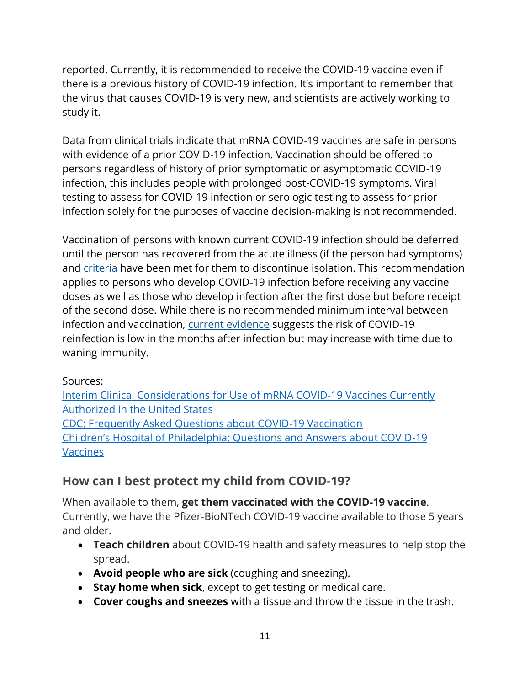reported. Currently, it is recommended to receive the COVID-19 vaccine even if there is a previous history of COVID-19 infection. It's important to remember that the virus that causes COVID-19 is very new, and scientists are actively working to study it.

Data from clinical trials indicate that mRNA COVID-19 vaccines are safe in persons with evidence of a prior COVID-19 infection. Vaccination should be offered to persons regardless of history of prior symptomatic or asymptomatic COVID-19 infection, this includes people with prolonged post-COVID-19 symptoms. Viral testing to assess for COVID-19 infection or serologic testing to assess for prior infection solely for the purposes of vaccine decision-making is not recommended.

Vaccination of persons with known current COVID-19 infection should be deferred until the person has recovered from the acute illness (if the person had symptoms) and [criteria](https://www.cdc.gov/coronavirus/2019-ncov/hcp/disposition-in-home-patients.html) have been met for them to discontinue isolation. This recommendation applies to persons who develop COVID-19 infection before receiving any vaccine doses as well as those who develop infection after the first dose but before receipt of the second dose. While there is no recommended minimum interval between infection and vaccination, [current evidence](https://www.cdc.gov/coronavirus/2019-ncov/hcp/duration-isolation.html) suggests the risk of COVID-19 reinfection is low in the months after infection but may increase with time due to waning immunity.

### Sources:

[Interim Clinical Considerations for Use of mRNA COVID-19 Vaccines Currently](https://www.cdc.gov/vaccines/covid-19/info-by-product/clinical-considerations.html?CDC_AA_refVal=https%3A%2F%2Fwww.cdc.gov%2Fvaccines%2Fcovid-19%2Finfo-by-product%2Fpfizer%2Fclinical-considerations.html)  [Authorized in the United States](https://www.cdc.gov/vaccines/covid-19/info-by-product/clinical-considerations.html?CDC_AA_refVal=https%3A%2F%2Fwww.cdc.gov%2Fvaccines%2Fcovid-19%2Finfo-by-product%2Fpfizer%2Fclinical-considerations.html) [CDC: Frequently Asked Questions about COVID-19 Vaccination](https://www.cdc.gov/coronavirus/2019-ncov/vaccines/faq.html) [Children's Hospital of Philadelphia: Questions and Answers about COVID](https://www.chop.edu/centers-programs/vaccine-education-center/making-vaccines/prevent-covid)-19 [Vaccines](https://www.chop.edu/centers-programs/vaccine-education-center/making-vaccines/prevent-covid)

### <span id="page-10-0"></span>**How can I best protect my child from COVID-19?**

When available to them, **get them vaccinated with the COVID-19 vaccine**. Currently, we have the Pfizer-BioNTech COVID-19 vaccine available to those 5 years and older.

- **Teach children** about COVID-19 health and safety measures to help stop the spread.
- **Avoid people who are sick** (coughing and sneezing).
- **Stay home when sick**, except to get testing or medical care.
- **Cover coughs and sneezes** with a tissue and throw the tissue in the trash.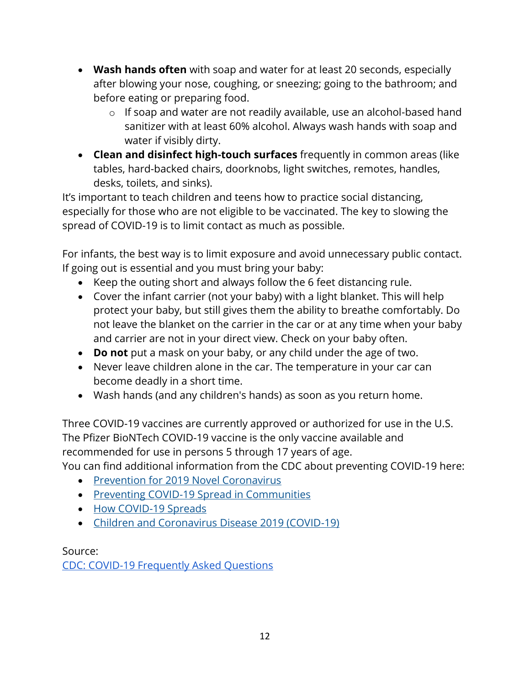- **Wash hands often** with soap and water for at least 20 seconds, especially after blowing your nose, coughing, or sneezing; going to the bathroom; and before eating or preparing food.
	- o If soap and water are not readily available, use an alcohol-based hand sanitizer with at least 60% alcohol. Always wash hands with soap and water if visibly dirty.
- **Clean and disinfect high-touch surfaces** frequently in common areas (like tables, hard-backed chairs, doorknobs, light switches, remotes, handles, desks, toilets, and sinks).

It's important to teach children and teens how to practice social distancing, especially for those who are not eligible to be vaccinated. The key to slowing the spread of COVID-19 is to limit contact as much as possible.

For infants, the best way is to limit exposure and avoid unnecessary public contact. If going out is essential and you must bring your baby:

- Keep the outing short and always follow the 6 feet distancing rule.
- Cover the infant carrier (not your baby) with a light blanket. This will help protect your baby, but still gives them the ability to breathe comfortably. Do not leave the blanket on the carrier in the car or at any time when your baby and carrier are not in your direct view. Check on your baby often.
- **Do not** put a mask on your baby, or any child under the age of two.
- Never leave children alone in the car. The temperature in your car can become deadly in a short time.
- Wash hands (and any children's hands) as soon as you return home.

Three COVID-19 vaccines are currently approved or authorized for use in the U.S. The Pfizer BioNTech COVID-19 vaccine is the only vaccine available and recommended for use in persons 5 through 17 years of age.

You can find additional information from the CDC about preventing COVID-19 here:

- [Prevention for 2019 Novel Coronavirus](https://www.cdc.gov/coronavirus/about/prevention.html)
- [Preventing COVID-19 Spread in Communities](https://www.cdc.gov/coronavirus/2019-ncov/community/index.html)
- [How COVID-19 Spreads](https://www.cdc.gov/coronavirus/2019-ncov/about/transmission.html)
- [Children and Coronavirus Disease 2019 \(COVID-19\)](https://www.cdc.gov/coronavirus/2019-ncov/daily-life-coping/children.html)

Source: [CDC: COVID-19 Frequently Asked Questions](https://www.cdc.gov/coronavirus/2019-ncov/faq.html#COVID-19-and-Children)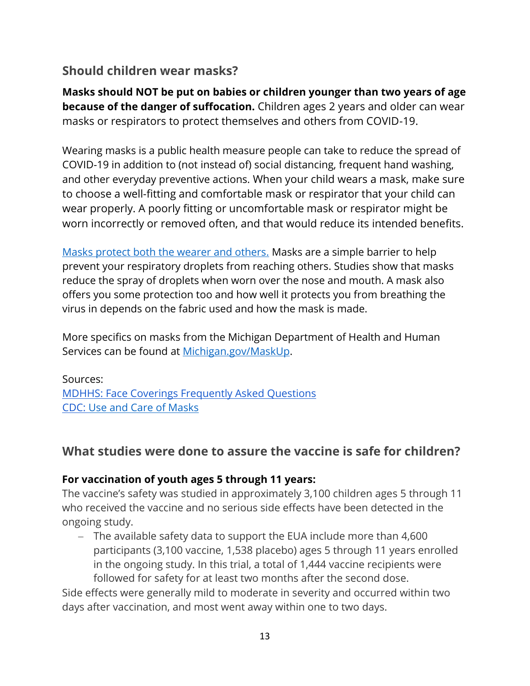### <span id="page-12-0"></span>**Should children wear masks?**

**Masks should NOT be put on babies or children younger than two years of age because of the danger of suffocation.** Children ages 2 years and older can wear masks or respirators to protect themselves and others from COVID-19.

Wearing masks is a public health measure people can take to reduce the spread of COVID-19 in addition to (not instead of) social distancing, frequent hand washing, and other everyday preventive actions. When your child wears a mask, make sure to choose a well-fitting and comfortable mask or respirator that your child can wear properly. A poorly fitting or uncomfortable mask or respirator might be worn incorrectly or removed often, and that would reduce its intended benefits.

[Masks protect both the wearer and others.](https://www.cdc.gov/coronavirus/2019-ncov/prevent-getting-sick/cloth-face-cover-guidance.html) Masks are a simple barrier to help prevent your respiratory droplets from reaching others. Studies show that masks reduce the spray of droplets when worn over the nose and mouth. A mask also offers you some protection too and how well it protects you from breathing the virus in depends on the fabric used and how the mask is made.

More specifics on masks from the Michigan Department of Health and Human Services can be found at [Michigan.gov/MaskUp.](http://www.michigan.gov/maskup)

Sources: [MDHHS: Face Coverings Frequently Asked Questions](https://www.michigan.gov/documents/coronavirus/Face_Coverings_Guidance_for_non-healthcare_workers_Final_685949_7.pdf) CDC: [Use and Care of Masks](https://www.cdc.gov/coronavirus/2019-ncov/prevent-getting-sick/about-face-coverings.html?CDC_AA_refVal=https%3A%2F%2Fwww.cdc.gov%2Fcoronavirus%2F2019-ncov%2Fprevent-getting-sick%2Fcloth-face-cover-guidance.html)

### <span id="page-12-1"></span>**What studies were done to assure the vaccine is safe for children?**

#### **For vaccination of youth ages 5 through 11 years:**

The vaccine's safety was studied in approximately 3,100 children ages 5 through 11 who received the vaccine and no serious side effects have been detected in the ongoing study.

− The available safety data to support the EUA include more than 4,600 participants (3,100 vaccine, 1,538 placebo) ages 5 through 11 years enrolled in the ongoing study. In this trial, a total of 1,444 vaccine recipients were followed for safety for at least two months after the second dose.

Side effects were generally mild to moderate in severity and occurred within two days after vaccination, and most went away within one to two days.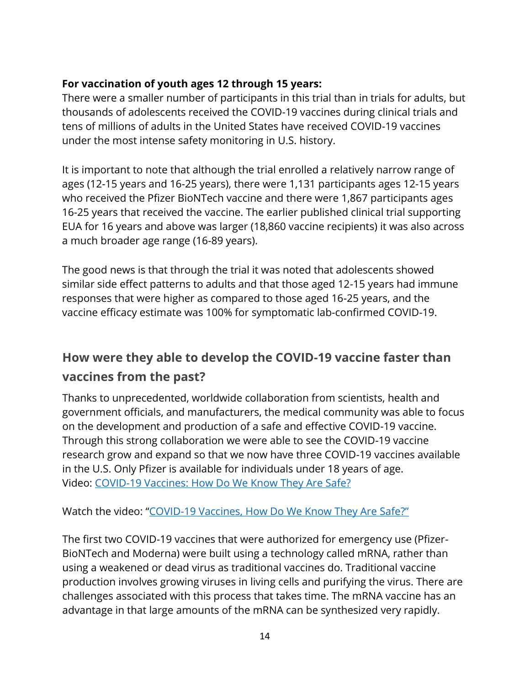### **For vaccination of youth ages 12 through 15 years:**

There were a smaller number of participants in this trial than in trials for adults, but thousands of adolescents received the COVID-19 vaccines during clinical trials and tens of millions of adults in the United States have received COVID-19 vaccines under the most intense safety monitoring in U.S. history.

It is important to note that although the trial enrolled a relatively narrow range of ages (12-15 years and 16-25 years), there were 1,131 participants ages 12-15 years who received the Pfizer BioNTech vaccine and there were 1,867 participants ages 16-25 years that received the vaccine. The earlier published clinical trial supporting EUA for 16 years and above was larger (18,860 vaccine recipients) it was also across a much broader age range (16-89 years).

The good news is that through the trial it was noted that adolescents showed similar side effect patterns to adults and that those aged 12-15 years had immune responses that were higher as compared to those aged 16-25 years, and the vaccine efficacy estimate was 100% for symptomatic lab-confirmed COVID-19.

## <span id="page-13-0"></span>**How were they able to develop the COVID-19 vaccine faster than vaccines from the past?**

Thanks to unprecedented, worldwide collaboration from scientists, health and government officials, and manufacturers, the medical community was able to focus on the development and production of a safe and effective COVID-19 vaccine. Through this strong collaboration we were able to see the COVID-19 vaccine research grow and expand so that we now have three COVID-19 vaccines available in the U.S. Only Pfizer is available for individuals under 18 years of age. Video: [COVID-19 Vaccines: How Do We Know They Are Safe?](https://youtu.be/7bBmQaX2k4w)

Watch the video: "COVID-[19 Vaccines, How Do We Know They Are Safe?"](https://youtu.be/7bBmQaX2k4w)

The first two COVID-19 vaccines that were authorized for emergency use (Pfizer-BioNTech and Moderna) were built using a technology called mRNA, rather than using a weakened or dead virus as traditional vaccines do. Traditional vaccine production involves growing viruses in living cells and purifying the virus. There are challenges associated with this process that takes time. The mRNA vaccine has an advantage in that large amounts of the mRNA can be synthesized very rapidly.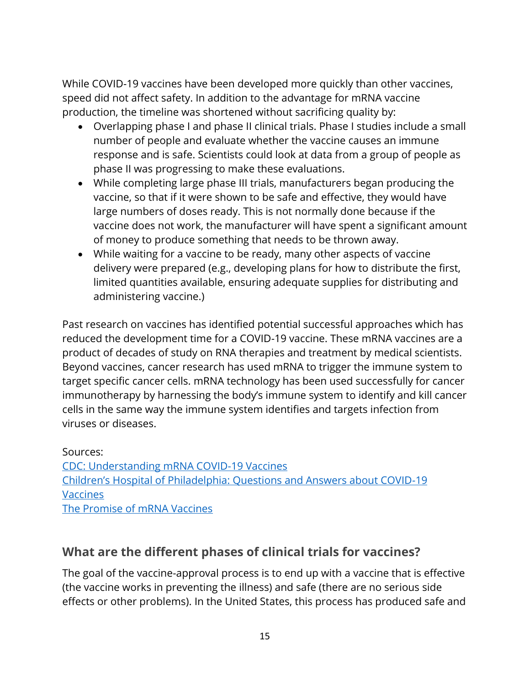While COVID-19 vaccines have been developed more quickly than other vaccines, speed did not affect safety. In addition to the advantage for mRNA vaccine production, the timeline was shortened without sacrificing quality by:

- Overlapping phase I and phase II clinical trials. Phase I studies include a small number of people and evaluate whether the vaccine causes an immune response and is safe. Scientists could look at data from a group of people as phase II was progressing to make these evaluations.
- While completing large phase III trials, manufacturers began producing the vaccine, so that if it were shown to be safe and effective, they would have large numbers of doses ready. This is not normally done because if the vaccine does not work, the manufacturer will have spent a significant amount of money to produce something that needs to be thrown away.
- While waiting for a vaccine to be ready, many other aspects of vaccine delivery were prepared (e.g., developing plans for how to distribute the first, limited quantities available, ensuring adequate supplies for distributing and administering vaccine.)

Past research on vaccines has identified potential successful approaches which has reduced the development time for a COVID-19 vaccine. These mRNA vaccines are a product of decades of study on RNA therapies and treatment by medical scientists. Beyond vaccines, cancer research has used mRNA to trigger the immune system to target specific cancer cells. mRNA technology has been used successfully for cancer immunotherapy by harnessing the body's immune system to identify and kill cancer cells in the same way the immune system identifies and targets infection from viruses or diseases.

Sources: [CDC: Understanding mRNA COVID-19 Vaccines](https://www.cdc.gov/coronavirus/2019-ncov/vaccines/different-vaccines/mrna.html) [Children's Hospital of Philadelphia: Questions and Answers about COVID](https://www.chop.edu/centers-programs/vaccine-education-center/making-vaccines/prevent-covid)-19 [Vaccines](https://www.chop.edu/centers-programs/vaccine-education-center/making-vaccines/prevent-covid) [The Promise of mRNA Vaccines](https://www.the-scientist.com/news-opinion/the-promise-of-mrna-vaccines-68202)

### <span id="page-14-0"></span>**What are the different phases of clinical trials for vaccines?**

The goal of the vaccine-approval process is to end up with a vaccine that is effective (the vaccine works in preventing the illness) and safe (there are no serious side effects or other problems). In the United States, this process has produced safe and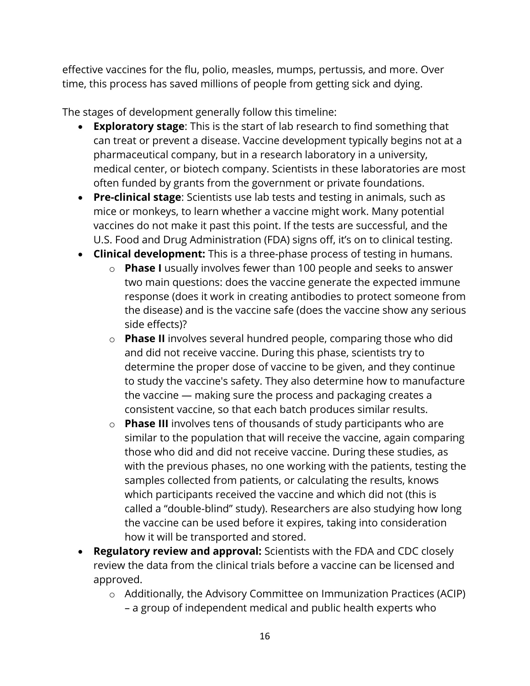effective vaccines for the flu, polio, measles, mumps, pertussis, and more. Over time, this process has saved millions of people from getting sick and dying.

The stages of development generally follow this timeline:

- **Exploratory stage**: This is the start of lab research to find something that can treat or prevent a disease. Vaccine development typically begins not at a pharmaceutical company, but in a research laboratory in a university, medical center, or biotech company. Scientists in these laboratories are most often funded by grants from the government or private foundations.
- **Pre-clinical stage**: Scientists use lab tests and testing in animals, such as mice or monkeys, to learn whether a vaccine might work. Many potential vaccines do not make it past this point. If the tests are successful, and the U.S. Food and Drug Administration (FDA) signs off, it's on to clinical testing.
- **Clinical development:** This is a three-phase process of testing in humans.
	- o **Phase I** usually involves fewer than 100 people and seeks to answer two main questions: does the vaccine generate the expected immune response (does it work in creating antibodies to protect someone from the disease) and is the vaccine safe (does the vaccine show any serious side effects)?
	- o **Phase II** involves several hundred people, comparing those who did and did not receive vaccine. During this phase, scientists try to determine the proper dose of vaccine to be given, and they continue to study the vaccine's safety. They also determine how to manufacture the vaccine — making sure the process and packaging creates a consistent vaccine, so that each batch produces similar results.
	- o **Phase III** involves tens of thousands of study participants who are similar to the population that will receive the vaccine, again comparing those who did and did not receive vaccine. During these studies, as with the previous phases, no one working with the patients, testing the samples collected from patients, or calculating the results, knows which participants received the vaccine and which did not (this is called a "double-blind" study). Researchers are also studying how long the vaccine can be used before it expires, taking into consideration how it will be transported and stored.
- **Regulatory review and approval:** Scientists with the FDA and CDC closely review the data from the clinical trials before a vaccine can be licensed and approved.
	- o Additionally, the Advisory Committee on Immunization Practices (ACIP) – a group of independent medical and public health experts who